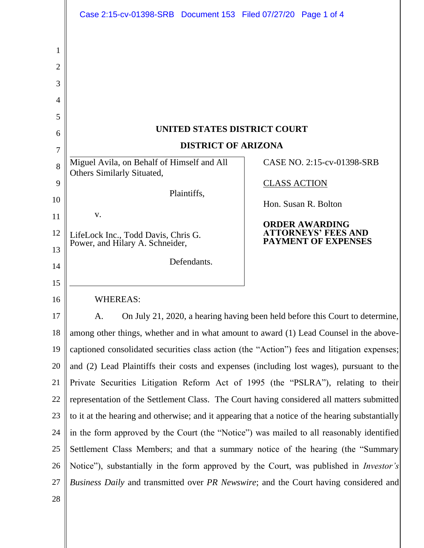|                  | Case 2:15-cv-01398-SRB  Document 153  Filed 07/27/20  Page 1 of 4                               |                                                        |
|------------------|-------------------------------------------------------------------------------------------------|--------------------------------------------------------|
| 1<br>2<br>3<br>4 |                                                                                                 |                                                        |
| 5<br>6           | UNITED STATES DISTRICT COURT                                                                    |                                                        |
| 7                | <b>DISTRICT OF ARIZONA</b>                                                                      |                                                        |
| 8                | Miguel Avila, on Behalf of Himself and All<br>Others Similarly Situated,                        | CASE NO. 2:15-cv-01398-SRB                             |
| 9                |                                                                                                 | <b>CLASS ACTION</b>                                    |
| 10               | Plaintiffs,                                                                                     | Hon. Susan R. Bolton                                   |
| 11               | V.                                                                                              | <b>ORDER AWARDING</b>                                  |
| 12<br>13         | LifeLock Inc., Todd Davis, Chris G.<br>Power, and Hilary A. Schneider,                          | <b>TORNEYS' FEES AND</b><br><b>PAYMENT OF EXPENSES</b> |
| 14               | Defendants.                                                                                     |                                                        |
| 15               |                                                                                                 |                                                        |
| 16               | <b>WHEREAS:</b>                                                                                 |                                                        |
| 17               | On July 21, 2020, a hearing having been held before this Court to determine,<br>A.              |                                                        |
| 18               | among other things, whether and in what amount to award (1) Lead Counsel in the above-          |                                                        |
| 19               | captioned consolidated securities class action (the "Action") fees and litigation expenses;     |                                                        |
| 20               | and (2) Lead Plaintiffs their costs and expenses (including lost wages), pursuant to the        |                                                        |
| 21               | Private Securities Litigation Reform Act of 1995 (the "PSLRA"), relating to their               |                                                        |
| 22               | representation of the Settlement Class. The Court having considered all matters submitted       |                                                        |
| 23               | to it at the hearing and otherwise; and it appearing that a notice of the hearing substantially |                                                        |
| 24               | in the form approved by the Court (the "Notice") was mailed to all reasonably identified        |                                                        |
| 25               | Settlement Class Members; and that a summary notice of the hearing (the "Summary                |                                                        |
| 26               | Notice"), substantially in the form approved by the Court, was published in <i>Investor's</i>   |                                                        |
| 27               | Business Daily and transmitted over PR Newswire; and the Court having considered and            |                                                        |
| 28               |                                                                                                 |                                                        |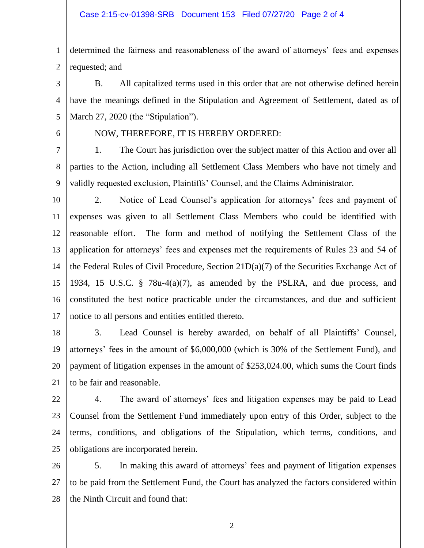1 2 determined the fairness and reasonableness of the award of attorneys' fees and expenses requested; and

3 4 5 B. All capitalized terms used in this order that are not otherwise defined herein have the meanings defined in the Stipulation and Agreement of Settlement, dated as of March 27, 2020 (the "Stipulation").

6

## NOW, THEREFORE, IT IS HEREBY ORDERED:

7 8 9 1. The Court has jurisdiction over the subject matter of this Action and over all parties to the Action, including all Settlement Class Members who have not timely and validly requested exclusion, Plaintiffs' Counsel, and the Claims Administrator.

- 10 11 12 13 14 15 16 17 2. Notice of Lead Counsel's application for attorneys' fees and payment of expenses was given to all Settlement Class Members who could be identified with reasonable effort. The form and method of notifying the Settlement Class of the application for attorneys' fees and expenses met the requirements of Rules 23 and 54 of the Federal Rules of Civil Procedure, Section 21D(a)(7) of the Securities Exchange Act of 1934, 15 U.S.C. § 78u-4(a)(7), as amended by the PSLRA, and due process, and constituted the best notice practicable under the circumstances, and due and sufficient notice to all persons and entities entitled thereto.
- 18 19 20 21 3. Lead Counsel is hereby awarded, on behalf of all Plaintiffs' Counsel, attorneys' fees in the amount of \$6,000,000 (which is 30% of the Settlement Fund), and payment of litigation expenses in the amount of \$253,024.00, which sums the Court finds to be fair and reasonable.
- 22

23 24 25 4. The award of attorneys' fees and litigation expenses may be paid to Lead Counsel from the Settlement Fund immediately upon entry of this Order, subject to the terms, conditions, and obligations of the Stipulation, which terms, conditions, and obligations are incorporated herein.

26 27 28 5. In making this award of attorneys' fees and payment of litigation expenses to be paid from the Settlement Fund, the Court has analyzed the factors considered within the Ninth Circuit and found that:

2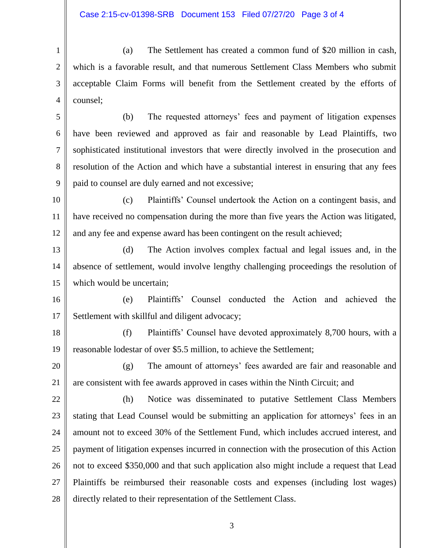1 2 3 4 (a) The Settlement has created a common fund of \$20 million in cash, which is a favorable result, and that numerous Settlement Class Members who submit acceptable Claim Forms will benefit from the Settlement created by the efforts of counsel;

5 6 7 8 9 (b) The requested attorneys' fees and payment of litigation expenses have been reviewed and approved as fair and reasonable by Lead Plaintiffs, two sophisticated institutional investors that were directly involved in the prosecution and resolution of the Action and which have a substantial interest in ensuring that any fees paid to counsel are duly earned and not excessive;

10 11 12 (c) Plaintiffs' Counsel undertook the Action on a contingent basis, and have received no compensation during the more than five years the Action was litigated, and any fee and expense award has been contingent on the result achieved;

13 14 15 (d) The Action involves complex factual and legal issues and, in the absence of settlement, would involve lengthy challenging proceedings the resolution of which would be uncertain:

16 17 (e) Plaintiffs' Counsel conducted the Action and achieved the Settlement with skillful and diligent advocacy;

18 19 (f) Plaintiffs' Counsel have devoted approximately 8,700 hours, with a reasonable lodestar of over \$5.5 million, to achieve the Settlement;

20 21 (g) The amount of attorneys' fees awarded are fair and reasonable and are consistent with fee awards approved in cases within the Ninth Circuit; and

22 23 24 25 26 27 28 (h) Notice was disseminated to putative Settlement Class Members stating that Lead Counsel would be submitting an application for attorneys' fees in an amount not to exceed 30% of the Settlement Fund, which includes accrued interest, and payment of litigation expenses incurred in connection with the prosecution of this Action not to exceed \$350,000 and that such application also might include a request that Lead Plaintiffs be reimbursed their reasonable costs and expenses (including lost wages) directly related to their representation of the Settlement Class.

3